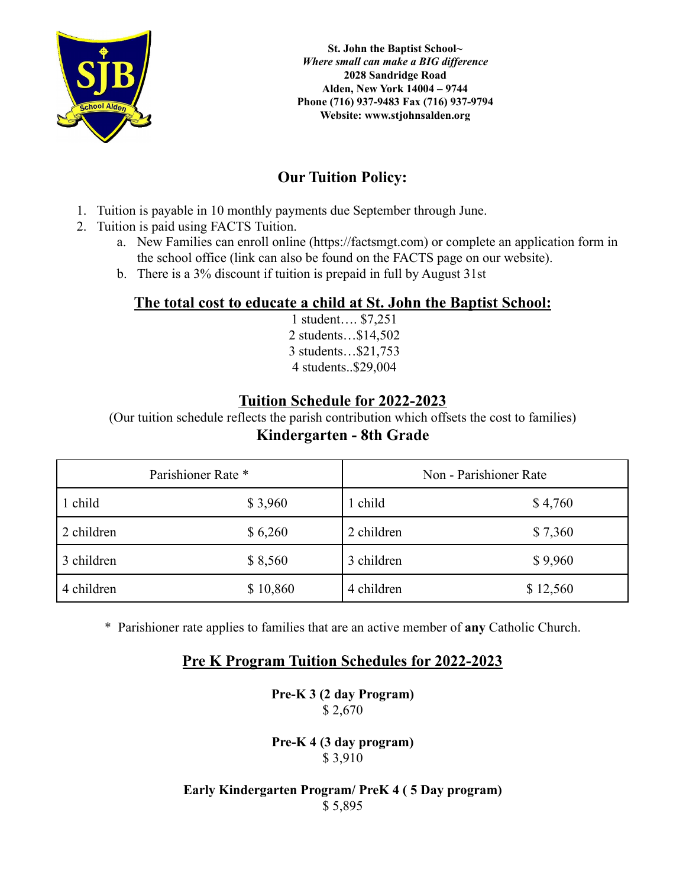

**St. John the Baptist School***~ Where small can make a BIG dif erence* **2028 Sandridge Road Alden, New York 14004 – 9744 Phone (716) 937-9483 Fax (716) 937-9794 Website: www.stjohnsalden.org**

# **Our Tuition Policy:**

- 1. Tuition is payable in 10 monthly payments due September through June.
- 2. Tuition is paid using FACTS Tuition.
	- a. New Families can enroll online (https://factsmgt.com) or complete an application form in the school office (link can also be found on the FACTS page on our website).
	- b. There is a 3% discount if tuition is prepaid in full by August 31st

### **The total cost to educate a child at St. John the Baptist School:**

1 student…. \$7,251 2 students…\$14,502 3 students…\$21,753 4 students..\$29,004

### **Tuition Schedule for 2022-2023**

(Our tuition schedule reflects the parish contribution which offsets the cost to families)

# **Kindergarten - 8th Grade**

| Parishioner Rate * |          | Non - Parishioner Rate |          |
|--------------------|----------|------------------------|----------|
| 1 child            | \$3,960  | l child                | \$4,760  |
| 2 children         | \$6,260  | 2 children             | \$7,360  |
| 3 children         | \$8,560  | 3 children             | \$9,960  |
| 4 children         | \$10,860 | 4 children             | \$12,560 |

\* Parishioner rate applies to families that are an active member of **any** Catholic Church.

## **Pre K Program Tuition Schedules for 2022-2023**

**Pre-K 3 (2 day Program)** \$ 2,670

**Pre-K 4 (3 day program)** \$ 3,910

#### **Early Kindergarten Program/ PreK 4 ( 5 Day program)** \$ 5,895